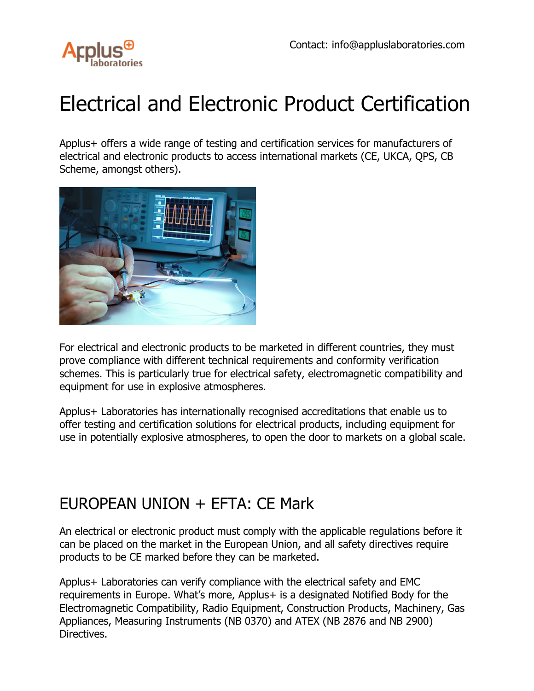

# Electrical and Electronic Product Certification

Applus+ offers a wide range of testing and certification services for manufacturers of electrical and electronic products to access international markets (CE, UKCA, QPS, CB Scheme, amongst others).



For electrical and electronic products to be marketed in different countries, they must prove compliance with different technical requirements and conformity verification schemes. This is particularly true for electrical safety, electromagnetic compatibility and equipment for use in explosive atmospheres.

Applus+ Laboratories has internationally recognised accreditations that enable us to offer testing and certification solutions for electrical products, including equipment for use in potentially explosive atmospheres, to open the door to markets on a global scale.

## EUROPEAN UNION + EFTA: CE Mark

An electrical or electronic product must comply with the applicable regulations before it can be placed on the market in the European Union, and all safety directives require products to be CE marked before they can be marketed.

Applus+ Laboratories can verify compliance with the electrical safety and EMC requirements in Europe. What's more, Applus+ is a designated Notified Body for the Electromagnetic Compatibility, Radio Equipment, Construction Products, Machinery, Gas Appliances, Measuring Instruments (NB 0370) and ATEX (NB 2876 and NB 2900) Directives.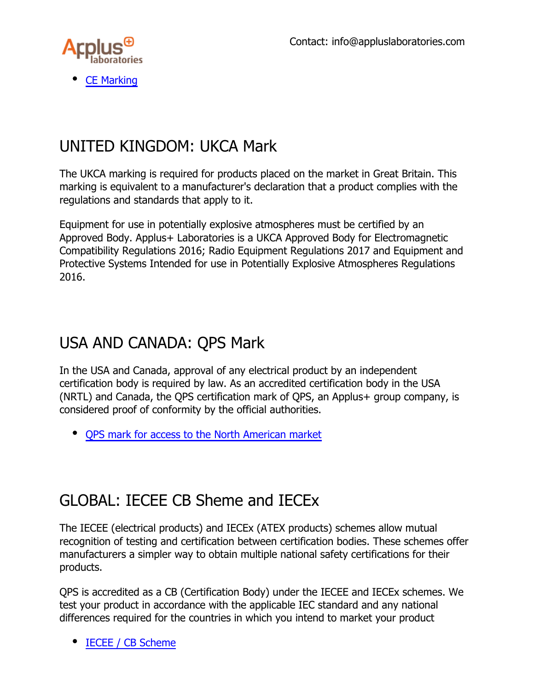

[CE Marking](https://www.appluslaboratories.com/global/en/what-we-do/services/ce-marking)

### UNITED KINGDOM: UKCA Mark

The UKCA marking is required for products placed on the market in Great Britain. This marking is equivalent to a manufacturer's declaration that a product complies with the regulations and standards that apply to it.

Equipment for use in potentially explosive atmospheres must be certified by an Approved Body. Applus+ Laboratories is a UKCA Approved Body for Electromagnetic Compatibility Regulations 2016; Radio Equipment Regulations 2017 and Equipment and Protective Systems Intended for use in Potentially Explosive Atmospheres Regulations 2016.

#### USA AND CANADA: QPS Mark

In the USA and Canada, approval of any electrical product by an independent certification body is required by law. As an accredited certification body in the USA (NRTL) and Canada, the QPS certification mark of QPS, an Applus+ group company, is considered proof of conformity by the official authorities.

[QPS mark for access to the North American market](https://www.appluslaboratories.com/global/en/what-we-do/service-sheet/qps-product-safety-mark---market-access-to-north-america)

### GLOBAL: IECEE CB Sheme and IECEx

The IECEE (electrical products) and IECEx (ATEX products) schemes allow mutual recognition of testing and certification between certification bodies. These schemes offer manufacturers a simpler way to obtain multiple national safety certifications for their products.

QPS is accredited as a CB (Certification Body) under the IECEE and IECEx schemes. We test your product in accordance with the applicable IEC standard and any national differences required for the countries in which you intend to market your product

[IECEE / CB Scheme](https://www.appluslaboratories.com/global/es/what-we-do/service-sheet/cb-scheme-(esquema-cb))